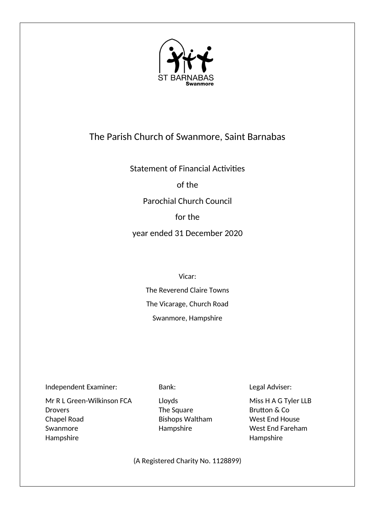

# The Parish Church of Swanmore, Saint Barnabas

Statement of Financial Activities

of the

Parochial Church Council

for the

year ended 31 December 2020

Vicar:

The Reverend Claire Towns The Vicarage, Church Road Swanmore, Hampshire

Independent Examiner: Bank: Legal Adviser:

Mr R L Green-Wilkinson FCA Lloyds Miss H A G Tyler LLB Drovers The Square The Square Brutton & Co Chapel Road **Bishops Waltham** West End House Swanmore **End Fareham** Hampshire West End Fareham Hampshire Hampshire

(A Registered Charity No. 1128899)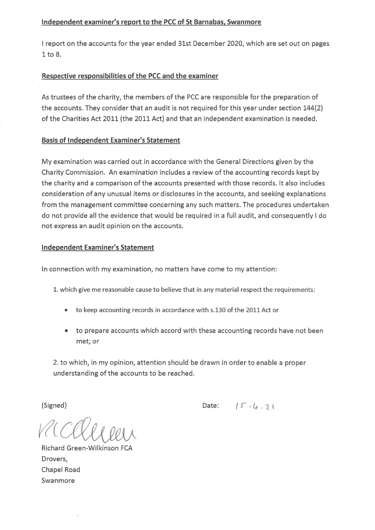# Independent examiner's report to the PCC of St Barnabas, Swanmore

I report on the accounts for the year ended 31st December 2020, which are set out on pages  $1$  to  $8$ .

# Respective responsibilities of the PCC and the examiner

As trustees of the charity, the members of the PCC are responsible for the preparation of the accounts. They consider that an audit is not required for this year under section 144(2) of the Charities Act 2011 (the 2011 Act) and that an independent examination is needed.

# **Basis of Independent Examiner's Statement**

My examination was carried out in accordance with the General Directions given by the Charity Commission. An examination includes a review of the accounting records kept by the charity and a comparison of the accounts presented with those records. It also includes consideration of any unusual items or disclosures in the accounts, and seeking explanations from the management committee concerning any such matters. The procedures undertaken do not provide all the evidence that would be required in a full audit, and consequently I do not express an audit opinion on the accounts.

# **Independent Examiner's Statement**

In connection with my examination, no matters have come to my attention:

- 1. which give me reasonable cause to believe that in any material respect the requirements:
	- to keep accounting records in accordance with s.130 of the 2011 Act or
	- to prepare accounts which accord with these accounting records have not been met; or

2. to which, in my opinion, attention should be drawn in order to enable a proper understanding of the accounts to be reached.

(Signed)

Date:  $15 - 4.71$ 

Richard Green-Wilkinson FCA Drovers, Chapel Road Swanmore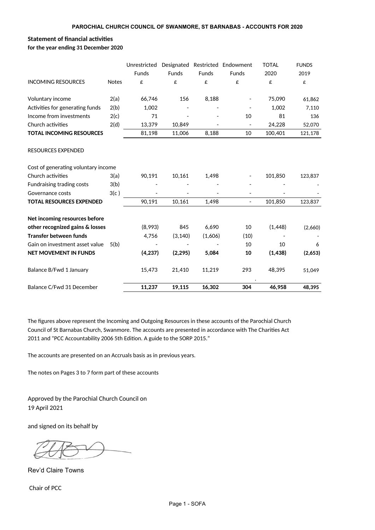# **Statement of financial activities**

|                                     |              | Unrestricted |              |              | Designated Restricted Endowment | <b>TOTAL</b> | <b>FUNDS</b> |
|-------------------------------------|--------------|--------------|--------------|--------------|---------------------------------|--------------|--------------|
|                                     |              | Funds        | <b>Funds</b> | <b>Funds</b> | <b>Funds</b>                    | 2020         | 2019         |
| <b>INCOMING RESOURCES</b>           | <b>Notes</b> | £            | £            | £            | £                               | £            | £            |
| Voluntary income                    | 2(a)         | 66,746       | 156          | 8,188        |                                 | 75,090       | 61,862       |
| Activities for generating funds     | 2(b)         | 1,002        |              |              |                                 | 1,002        | 7,110        |
| Income from investments             | 2(c)         | 71           |              |              | 10                              | 81           | 136          |
| Church activities                   | 2(d)         | 13,379       | 10,849       |              | $\overline{\phantom{a}}$        | 24,228       | 52,070       |
| <b>TOTAL INCOMING RESOURCES</b>     |              | 81,198       | 11,006       | 8,188        | 10                              | 100,401      | 121,178      |
| <b>RESOURCES EXPENDED</b>           |              |              |              |              |                                 |              |              |
| Cost of generating voluntary income |              |              |              |              |                                 |              |              |
| Church activities                   | 3(a)         | 90,191       | 10,161       | 1,498        |                                 | 101,850      | 123,837      |
| Fundraising trading costs           | 3(b)         |              |              |              |                                 |              |              |
| Governance costs                    | 3(c)         |              |              |              |                                 |              |              |
| <b>TOTAL RESOURCES EXPENDED</b>     |              | 90,191       | 10,161       | 1,498        | $\overline{\phantom{a}}$        | 101,850      | 123,837      |
| Net incoming resources before       |              |              |              |              |                                 |              |              |
| other recognized gains & losses     |              | (8,993)      | 845          | 6,690        | 10                              | (1, 448)     | (2,660)      |
| <b>Transfer between funds</b>       |              | 4,756        | (3, 140)     | (1,606)      | (10)                            |              |              |
| Gain on investment asset value      | 5(b)         |              |              |              | 10                              | 10           | 6            |
| <b>NET MOVEMENT IN FUNDS</b>        |              | (4, 237)     | (2, 295)     | 5,084        | 10                              | (1,438)      | (2,653)      |
| Balance B/Fwd 1 January             |              | 15,473       | 21,410       | 11,219       | 293                             | 48,395       | 51,049       |
| Balance C/Fwd 31 December           |              | 11,237       | 19,115       | 16,302       | 304                             | 46.958       | 48.395       |

The figures above represent the Incoming and Outgoing Resources in these accounts of the Parochial Church Council of St Barnabas Church, Swanmore. The accounts are presented in accordance with The Charities Act 2011 and "PCC Accountability 2006 5th Edition. A guide to the SORP 2015."

The accounts are presented on an Accruals basis as in previous years.

The notes on Pages 3 to 7 form part of these accounts

Approved by the Parochial Church Council on 19 April 2021

and signed on its behalf by

Rev'd Claire Towns

Chair of PCC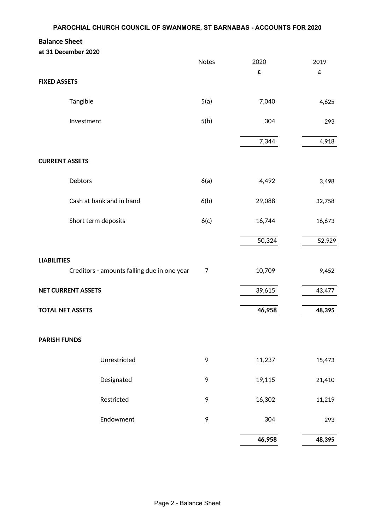# **Balance Sheet**

|                         | at 31 December 2020                         |       |        |        |
|-------------------------|---------------------------------------------|-------|--------|--------|
|                         |                                             | Notes | 2020   | 2019   |
|                         |                                             |       | £      | £      |
| <b>FIXED ASSETS</b>     |                                             |       |        |        |
|                         | Tangible                                    | 5(a)  | 7,040  | 4,625  |
|                         | Investment                                  | 5(b)  | 304    | 293    |
|                         |                                             |       | 7,344  | 4,918  |
| <b>CURRENT ASSETS</b>   |                                             |       |        |        |
|                         | Debtors                                     | 6(a)  | 4,492  | 3,498  |
|                         |                                             |       |        |        |
|                         | Cash at bank and in hand                    | 6(b)  | 29,088 | 32,758 |
|                         | Short term deposits                         | 6(c)  | 16,744 | 16,673 |
|                         |                                             |       | 50,324 | 52,929 |
|                         |                                             |       |        |        |
| <b>LIABILITIES</b>      | Creditors - amounts falling due in one year | 7     | 10,709 | 9,452  |
|                         | <b>NET CURRENT ASSETS</b>                   |       | 39,615 | 43,477 |
|                         |                                             |       |        |        |
| <b>TOTAL NET ASSETS</b> |                                             |       | 46,958 | 48,395 |
| <b>PARISH FUNDS</b>     |                                             |       |        |        |
|                         |                                             |       |        |        |
|                         | Unrestricted                                | 9     | 11,237 | 15,473 |
|                         | Designated                                  | 9     | 19,115 | 21,410 |
|                         | Restricted                                  | 9     | 16,302 | 11,219 |
|                         | Endowment                                   | 9     | 304    | 293    |
|                         |                                             |       |        |        |
|                         |                                             |       | 46,958 | 48,395 |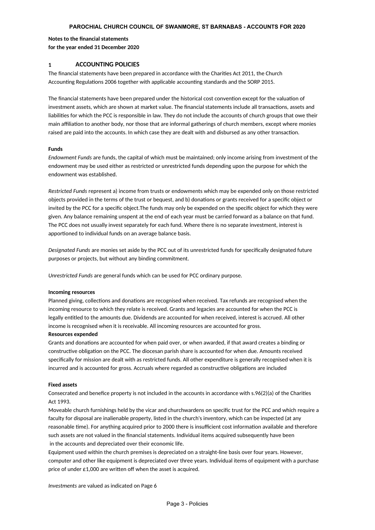#### **PAROCHIAL CHURCH COUNCIL OF SWANMORE, ST BARNABAS - ACCOUNTS FOR 2020**

#### **Notes to the nancial statements for the year ended 31 December 2020**

#### **1 ACCOUNTING POLICIES**

The financial statements have been prepared in accordance with the Charities Act 2011, the Church Accounting Regulations 2006 together with applicable accounting standards and the SORP 2015.

The financial statements have been prepared under the historical cost convention except for the valuation of investment assets, which are shown at market value. The financial statements include all transactions, assets and liabilities for which the PCC is responsible in law. They do not include the accounts of church groups that owe their main affiliation to another body, nor those that are informal gatherings of church members, except where monies raised are paid into the accounts. In which case they are dealt with and disbursed as any other transaction.

#### **Funds**

endowment may be used either as restricted or unrestricted funds depending upon the purpose for which the endowment was established. *Endowment Funds* are funds, the capital of which must be maintained; only income arising from investment of the

objects provided in the terms of the trust or bequest, and b) donations or grants received for a specific object or invited by the PCC for a specific object. The funds may only be expended on the specific object for which they were given. Any balance remaining unspent at the end of each year must be carried forward as a balance on that fund. The PCC does not usually invest separately for each fund. Where there is no separate investment, interest is apportioned to individual funds on an average balance basis. *Restricted Funds* represent a) income from trusts or endowments which may be expended only on those restricted

purposes or projects, but without any binding commitment. *Designated Funds* are monies set aside by the PCC out of its unrestricted funds for specifically designated future

*Unrestricted Funds* are general funds which can be used for PCC ordinary purpose.

#### **Incoming resources**

Planned giving, collections and donations are recognised when received. Tax refunds are recognised when the incoming resource to which they relate is received. Grants and legacies are accounted for when the PCC is legally entitled to the amounts due. Dividends are accounted for when received, interest is accrued. All other income is recognised when it is receivable. All incoming resources are accounted for gross.

#### **Resources expended**

Grants and donations are accounted for when paid over, or when awarded, if that award creates a binding or constructive obligation on the PCC. The diocesan parish share is accounted for when due. Amounts received specifically for mission are dealt with as restricted funds. All other expenditure is generally recognised when it is incurred and is accounted for gross. Accruals where regarded as constructive obligations are included

#### **Fixed assets**

Consecrated and benefice property is not included in the accounts in accordance with  $s.96(2)(a)$  of the Charities Act 1993.

Moveable church furnishings held by the vicar and churchwardens on specific trust for the PCC and which require a faculty for disposal are inalienable property, listed in the church's inventory, which can be inspected (at any reasonable time). For anything acquired prior to 2000 there is insufficient cost information available and therefore such assets are not valued in the financial statements. Individual items acquired subsequently have been in the accounts and depreciated over their economic life.

Equipment used within the church premises is depreciated on a straight-line basis over four years. However, computer and other like equipment is depreciated over three years. Individual items of equipment with a purchase price of under  $£1,000$  are written off when the asset is acquired.

*Investments* are valued as indicated on Page 6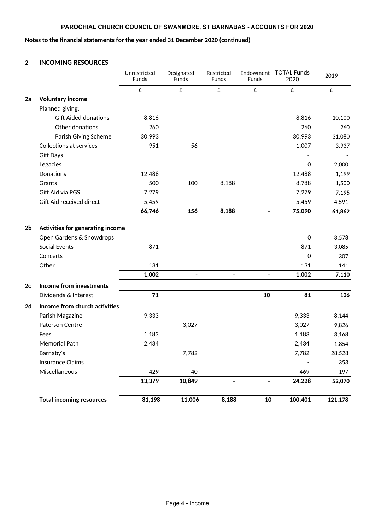## **PAROCHIAL CHURCH COUNCIL OF SWANMORE, ST BARNABAS - ACCOUNTS FOR 2020**

#### Notes to the financial statements for the year ended 31 December 2020 (continued)

### **2 INCOMING RESOURCES**

|                |                                  | Unrestricted<br><b>Funds</b> | Designated<br><b>Funds</b> | Restricted<br><b>Funds</b>   | Endowment<br><b>Funds</b>    | <b>TOTAL Funds</b><br>2020 | 2019    |
|----------------|----------------------------------|------------------------------|----------------------------|------------------------------|------------------------------|----------------------------|---------|
|                |                                  | £                            | £                          | £                            | £                            | £                          | £       |
| 2a             | <b>Voluntary income</b>          |                              |                            |                              |                              |                            |         |
|                | Planned giving:                  |                              |                            |                              |                              |                            |         |
|                | <b>Gift Aided donations</b>      | 8,816                        |                            |                              |                              | 8,816                      | 10,100  |
|                | Other donations                  | 260                          |                            |                              |                              | 260                        | 260     |
|                | Parish Giving Scheme             | 30,993                       |                            |                              |                              | 30,993                     | 31,080  |
|                | <b>Collections at services</b>   | 951                          | 56                         |                              |                              | 1,007                      | 3,937   |
|                | <b>Gift Days</b>                 |                              |                            |                              |                              |                            |         |
|                | Legacies                         |                              |                            |                              |                              | 0                          | 2,000   |
|                | Donations                        | 12,488                       |                            |                              |                              | 12,488                     | 1,199   |
|                | Grants                           | 500                          | 100                        | 8,188                        |                              | 8,788                      | 1,500   |
|                | Gift Aid via PGS                 | 7,279                        |                            |                              |                              | 7,279                      | 7,195   |
|                | Gift Aid received direct         | 5,459                        |                            |                              |                              | 5,459                      | 4,591   |
|                |                                  | 66,746                       | 156                        | 8,188                        | $\qquad \qquad \blacksquare$ | 75,090                     | 61,862  |
| 2 <sub>b</sub> | Activities for generating income |                              |                            |                              |                              |                            |         |
|                | Open Gardens & Snowdrops         |                              |                            |                              |                              | $\mathbf 0$                | 3,578   |
|                | <b>Social Events</b>             | 871                          |                            |                              |                              | 871                        | 3,085   |
|                | Concerts                         |                              |                            |                              |                              | 0                          | 307     |
|                | Other                            | 131                          |                            |                              |                              | 131                        | 141     |
|                |                                  | 1,002                        | $\blacksquare$             | $\blacksquare$               | $\blacksquare$               | 1,002                      | 7,110   |
| 2c             | Income from investments          |                              |                            |                              |                              |                            |         |
|                | Dividends & Interest             | 71                           |                            |                              | 10                           | 81                         | 136     |
| 2d             | Income from church activities    |                              |                            |                              |                              |                            |         |
|                | Parish Magazine                  | 9,333                        |                            |                              |                              | 9,333                      | 8,144   |
|                | Paterson Centre                  |                              | 3,027                      |                              |                              | 3,027                      | 9,826   |
|                | Fees                             | 1,183                        |                            |                              |                              | 1,183                      | 3,168   |
|                | <b>Memorial Path</b>             | 2,434                        |                            |                              |                              | 2,434                      | 1,854   |
|                | Barnaby's                        |                              | 7,782                      |                              |                              | 7,782                      | 28,528  |
|                | <b>Insurance Claims</b>          |                              |                            |                              |                              |                            | 353     |
|                | Miscellaneous                    | 429                          | 40                         |                              |                              | 469                        | 197     |
|                |                                  | 13,379                       | 10,849                     | $\qquad \qquad \blacksquare$ | $\blacksquare$               | 24,228                     | 52,070  |
|                | <b>Total incoming resources</b>  | 81,198                       | 11,006                     | 8,188                        | 10                           | 100,401                    | 121,178 |
|                |                                  |                              |                            |                              |                              |                            |         |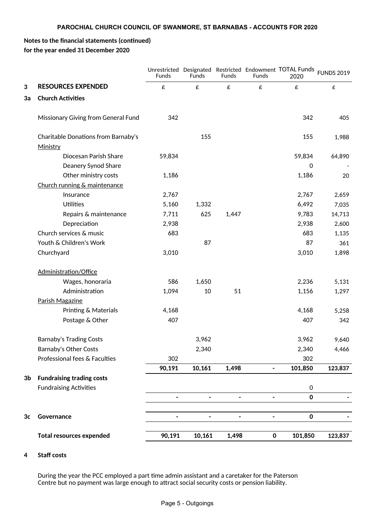# **Notes to the financial statements (continued) for the year ended 31 December 2020**

|                |                                                 | Funds          | Funds                        | <b>Funds</b>                 | <b>Funds</b>             | Unrestricted Designated Restricted Endowment TOTAL Funds<br>2020 | <b>FUNDS 2019</b>  |
|----------------|-------------------------------------------------|----------------|------------------------------|------------------------------|--------------------------|------------------------------------------------------------------|--------------------|
| 3              | <b>RESOURCES EXPENDED</b>                       | £              | £                            | £                            | £                        | £                                                                | $\pmb{\mathsf{E}}$ |
| 3a             | <b>Church Activities</b>                        |                |                              |                              |                          |                                                                  |                    |
|                | Missionary Giving from General Fund             | 342            |                              |                              |                          | 342                                                              | 405                |
|                | Charitable Donations from Barnaby's<br>Ministry |                | 155                          |                              |                          | 155                                                              | 1,988              |
|                | Diocesan Parish Share                           | 59,834         |                              |                              |                          | 59,834                                                           | 64,890             |
|                | Deanery Synod Share                             |                |                              |                              |                          | $\mathbf 0$                                                      |                    |
|                | Other ministry costs                            | 1,186          |                              |                              |                          | 1,186                                                            | 20                 |
|                | Church running & maintenance                    |                |                              |                              |                          |                                                                  |                    |
|                | Insurance                                       | 2,767          |                              |                              |                          | 2,767                                                            | 2,659              |
|                | <b>Utilities</b>                                | 5,160          | 1,332                        |                              |                          | 6,492                                                            | 7,035              |
|                | Repairs & maintenance                           | 7,711          | 625                          | 1,447                        |                          | 9,783                                                            | 14,713             |
|                | Depreciation                                    | 2,938          |                              |                              |                          | 2,938                                                            | 2,600              |
|                | Church services & music                         | 683            |                              |                              |                          | 683                                                              | 1,135              |
|                | Youth & Children's Work                         |                | 87                           |                              |                          | 87                                                               | 361                |
|                | Churchyard                                      | 3,010          |                              |                              |                          | 3,010                                                            | 1,898              |
|                | Administration/Office                           |                |                              |                              |                          |                                                                  |                    |
|                | Wages, honoraria                                | 586            | 1,650                        |                              |                          | 2,236                                                            | 5,131              |
|                | Administration                                  | 1,094          | 10                           | 51                           |                          | 1,156                                                            | 1,297              |
|                | Parish Magazine                                 |                |                              |                              |                          |                                                                  |                    |
|                | Printing & Materials                            | 4,168          |                              |                              |                          | 4,168                                                            | 5,258              |
|                | Postage & Other                                 | 407            |                              |                              |                          | 407                                                              | 342                |
|                | <b>Barnaby's Trading Costs</b>                  |                | 3,962                        |                              |                          | 3,962                                                            | 9,640              |
|                | Barnaby's Other Costs                           |                | 2,340                        |                              |                          | 2,340                                                            | 4,466              |
|                | Professional fees & Faculties                   | 302            |                              |                              |                          | 302                                                              |                    |
|                |                                                 | 90,191         | 10,161                       | 1,498                        | $\overline{\phantom{a}}$ | 101,850                                                          | 123,837            |
| 3 <sub>b</sub> | <b>Fundraising trading costs</b>                |                |                              |                              |                          |                                                                  |                    |
|                | <b>Fundraising Activities</b>                   |                |                              |                              |                          | $\mathsf{O}\xspace$                                              |                    |
|                |                                                 | $\blacksquare$ | $\blacksquare$               | $\qquad \qquad \blacksquare$ | $\overline{\phantom{a}}$ | $\pmb{0}$                                                        |                    |
|                |                                                 |                |                              |                              |                          |                                                                  |                    |
| 3 <sub>c</sub> | Governance                                      | -              | $\qquad \qquad \blacksquare$ | $\qquad \qquad \blacksquare$ | -                        | $\mathbf 0$                                                      |                    |
|                | <b>Total resources expended</b>                 | 90,191         | 10,161                       | 1,498                        | $\mathbf 0$              | 101,850                                                          | 123,837            |

## **4** Staff costs

During the year the PCC employed a part time admin assistant and a caretaker for the Paterson Centre but no payment was large enough to attract social security costs or pension liability.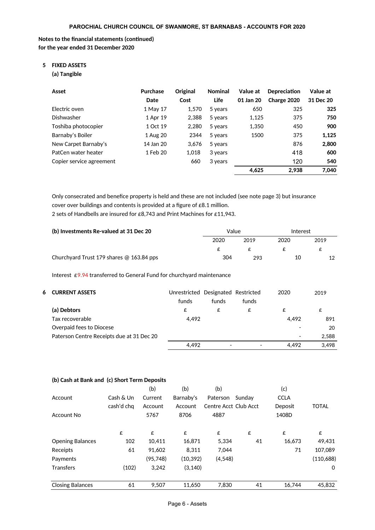### **Notes to the financial statements (continued) for the year ended 31 December 2020**

# **5 FIXED ASSETS**

**(a) Tangible**

| Asset                    | <b>Purchase</b><br>Date | Original<br>Cost | <b>Nominal</b><br>Life | Value at<br>01 Jan 20 | <b>Depreciation</b><br>Charge 2020 | Value at<br>31 Dec 20 |
|--------------------------|-------------------------|------------------|------------------------|-----------------------|------------------------------------|-----------------------|
| Flectric oven            | 1 May 17                | 1.570            | 5 years                | 650                   | 325                                | 325                   |
| Dishwasher               | 1 Apr 19                | 2.388            | 5 years                | 1,125                 | 375                                | 750                   |
| Toshiba photocopier      | 1 Oct 19                | 2,280            | 5 years                | 1,350                 | 450                                | 900                   |
| Barnaby's Boiler         | 1 Aug 20                | 2344             | 5 years                | 1500                  | 375                                | 1,125                 |
| New Carpet Barnaby's     | 14 Jan 20               | 3.676            | 5 years                |                       | 876                                | 2,800                 |
| PatCen water heater      | 1 Feb 20                | 1.018            | 3 years                |                       | 418                                | 600                   |
| Copier service agreement |                         | 660              | 3 years                |                       | 120                                | 540                   |
|                          |                         |                  |                        | 4,625                 | 2.938                              | 7,040                 |

Only consecrated and benefice property is held and these are not included (see note page 3) but insurance cover over buildings and contents is provided at a figure of  $£8.1$  million.

2 sets of Handbells are insured for £8,743 and Print Machines for £11,943.

| (b) Investments Re-valued at 31 Dec 20     | Value |      | Interest |      |
|--------------------------------------------|-------|------|----------|------|
|                                            | 2020  | 2019 | 2020     | 2019 |
|                                            |       |      |          | c    |
| Churchyard Trust 179 shares $@$ 163.84 pps | 304   | 293  | 10       |      |

Interest £9.94 transferred to General Fund for churchyard maintenance

| <b>6 CURRENT ASSETS</b>                   | Unrestricted Designated Restricted |                          |       | 2020  | 2019  |
|-------------------------------------------|------------------------------------|--------------------------|-------|-------|-------|
|                                           | funds                              | funds                    | funds |       |       |
| (a) Debtors                               | £                                  | £                        | £     | £     | £     |
| Tax recoverable                           | 4.492                              |                          |       | 4.492 | 891   |
| Overpaid fees to Diocese                  |                                    |                          |       |       | 20    |
| Paterson Centre Receipts due at 31 Dec 20 |                                    |                          |       |       | 2,588 |
|                                           | 4,492                              | $\overline{\phantom{0}}$ |       | 4.492 | 3.498 |

#### **(b) Cash at Bank and (c) Short Term Deposits**

|                         |            | (b)       | (b)       | (b)                   |        | (c)         |              |
|-------------------------|------------|-----------|-----------|-----------------------|--------|-------------|--------------|
| Account                 | Cash & Un  | Current   | Barnaby's | Paterson              | Sundav | <b>CCLA</b> |              |
|                         | cash'd chq | Account   | Account   | Centre Acct Club Acct |        | Deposit     | <b>TOTAL</b> |
| Account No              |            | 5767      | 8706      | 4887                  |        | 1408D       |              |
|                         | £          | £         | £         | £                     | £      | £           | £            |
| <b>Opening Balances</b> | 102        | 10.411    | 16,871    | 5.334                 | 41     | 16.673      | 49,431       |
| Receipts                | 61         | 91,602    | 8.311     | 7.044                 |        | 71          | 107.089      |
| Payments                |            | (95, 748) | (10, 392) | (4,548)               |        |             | (110, 688)   |
| <b>Transfers</b>        | (102)      | 3.242     | (3, 140)  |                       |        |             | $\mathbf 0$  |
| <b>Closing Balances</b> | 61         | 9.507     | 11.650    | 7,830                 | 41     | 16.744      | 45,832       |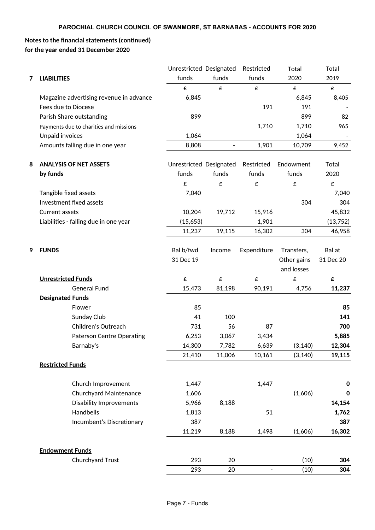# **Notes to the financial statements (continued) for the year ended 31 December 2020**

|   |                                         | Unrestricted Designated |                | Restricted                   | Total              | Total            |
|---|-----------------------------------------|-------------------------|----------------|------------------------------|--------------------|------------------|
| 7 | <b>LIABILITIES</b>                      | funds                   | funds          | funds                        | 2020               | 2019             |
|   |                                         | £                       | £              | $\pmb{\mathsf{E}}$           | $\pmb{\mathsf{E}}$ | £                |
|   | Magazine advertising revenue in advance | 6,845                   |                |                              | 6,845              | 8,405            |
|   | Fees due to Diocese                     |                         |                | 191                          | 191                |                  |
|   | Parish Share outstanding                | 899                     |                |                              | 899                | 82               |
|   | Payments due to charities and missions  |                         |                | 1,710                        | 1,710              | 965              |
|   | Unpaid invoices                         | 1,064                   |                |                              | 1,064              |                  |
|   | Amounts falling due in one year         | 8,808                   | $\blacksquare$ | 1,901                        | 10,709             | 9,452            |
| 8 | <b>ANALYSIS OF NET ASSETS</b>           | Unrestricted Designated |                | Restricted                   | Endowment          | Total            |
|   | by funds                                | funds                   | funds          | funds                        | funds              | 2020             |
|   |                                         | £                       | £              | £                            | £                  | £                |
|   | Tangible fixed assets                   | 7,040                   |                |                              |                    | 7,040            |
|   | Investment fixed assets                 |                         |                |                              | 304                | 304              |
|   | Current assets                          | 10,204                  | 19,712         | 15,916                       |                    | 45,832           |
|   | Liabilities - falling due in one year   | (15,653)                |                | 1,901                        |                    | (13, 752)        |
|   |                                         | 11,237                  | 19,115         | 16,302                       | 304                | 46,958           |
| 9 | <b>FUNDS</b>                            | Bal b/fwd               | Income         | Expenditure                  | Transfers,         | Bal at           |
|   |                                         | 31 Dec 19               |                |                              | Other gains        | 31 Dec 20        |
|   |                                         |                         |                |                              | and losses         |                  |
|   | <b>Unrestricted Funds</b>               | £                       | £              | £                            | £                  | £                |
|   | <b>General Fund</b>                     | 15,473                  | 81,198         | 90,191                       | 4,756              | 11,237           |
|   | <b>Designated Funds</b>                 |                         |                |                              |                    |                  |
|   | Flower                                  | 85                      |                |                              |                    | 85               |
|   | Sunday Club                             | 41                      | 100            |                              |                    | 141              |
|   | Children's Outreach                     | 731                     | 56             | 87                           |                    | 700              |
|   | Paterson Centre Operating               | 6,253                   | 3,067          | 3,434                        |                    | 5,885            |
|   | Barnaby's                               | 14,300                  | 7,782          | 6,639                        | (3, 140)           | 12,304           |
|   |                                         | 21,410                  | 11,006         | 10,161                       | (3, 140)           | 19,115           |
|   | <b>Restricted Funds</b>                 |                         |                |                              |                    |                  |
|   | Church Improvement                      | 1,447                   |                | 1,447                        |                    | 0                |
|   | Churchyard Maintenance                  | 1,606                   |                |                              | (1,606)            | $\boldsymbol{0}$ |
|   | <b>Disability Improvements</b>          | 5,966                   | 8,188          |                              |                    | 14,154           |
|   | Handbells                               | 1,813                   |                | 51                           |                    | 1,762            |
|   | Incumbent's Discretionary               | 387                     |                |                              |                    | 387              |
|   |                                         | 11,219                  | 8,188          | 1,498                        | (1,606)            | 16,302           |
|   | <b>Endowment Funds</b>                  |                         |                |                              |                    |                  |
|   | Churchyard Trust                        | 293                     | 20             |                              | (10)               | 304              |
|   |                                         | 293                     | 20             | $\qquad \qquad \blacksquare$ | (10)               | 304              |